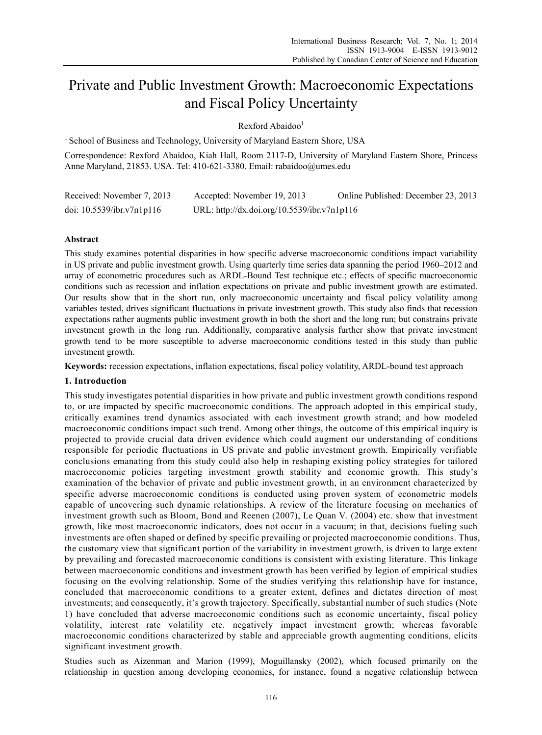# Private and Public Investment Growth: Macroeconomic Expectations and Fiscal Policy Uncertainty

 $R$ exford Abaidoo $1$ 

<sup>1</sup> School of Business and Technology, University of Maryland Eastern Shore, USA

Correspondence: Rexford Abaidoo, Kiah Hall, Room 2117-D, University of Maryland Eastern Shore, Princess Anne Maryland, 21853. USA. Tel: 410-621-3380. Email: rabaidoo@umes.edu

| Received: November 7, 2013   | Accepted: November 19, 2013                 | Online Published: December 23, 2013 |
|------------------------------|---------------------------------------------|-------------------------------------|
| doi: $10.5539$ /ibr.v7n1p116 | URL: http://dx.doi.org/10.5539/ibr.v7n1p116 |                                     |

# **Abstract**

This study examines potential disparities in how specific adverse macroeconomic conditions impact variability in US private and public investment growth. Using quarterly time series data spanning the period 1960–2012 and array of econometric procedures such as ARDL-Bound Test technique etc.; effects of specific macroeconomic conditions such as recession and inflation expectations on private and public investment growth are estimated. Our results show that in the short run, only macroeconomic uncertainty and fiscal policy volatility among variables tested, drives significant fluctuations in private investment growth. This study also finds that recession expectations rather augments public investment growth in both the short and the long run; but constrains private investment growth in the long run. Additionally, comparative analysis further show that private investment growth tend to be more susceptible to adverse macroeconomic conditions tested in this study than public investment growth.

**Keywords:** recession expectations, inflation expectations, fiscal policy volatility, ARDL-bound test approach

# **1. Introduction**

This study investigates potential disparities in how private and public investment growth conditions respond to, or are impacted by specific macroeconomic conditions. The approach adopted in this empirical study, critically examines trend dynamics associated with each investment growth strand; and how modeled macroeconomic conditions impact such trend. Among other things, the outcome of this empirical inquiry is projected to provide crucial data driven evidence which could augment our understanding of conditions responsible for periodic fluctuations in US private and public investment growth. Empirically verifiable conclusions emanating from this study could also help in reshaping existing policy strategies for tailored macroeconomic policies targeting investment growth stability and economic growth. This study's examination of the behavior of private and public investment growth, in an environment characterized by specific adverse macroeconomic conditions is conducted using proven system of econometric models capable of uncovering such dynamic relationships. A review of the literature focusing on mechanics of investment growth such as Bloom, Bond and Reenen (2007), Le Quan V. (2004) etc. show that investment growth, like most macroeconomic indicators, does not occur in a vacuum; in that, decisions fueling such investments are often shaped or defined by specific prevailing or projected macroeconomic conditions. Thus, the customary view that significant portion of the variability in investment growth, is driven to large extent by prevailing and forecasted macroeconomic conditions is consistent with existing literature. This linkage between macroeconomic conditions and investment growth has been verified by legion of empirical studies focusing on the evolving relationship. Some of the studies verifying this relationship have for instance, concluded that macroeconomic conditions to a greater extent, defines and dictates direction of most investments; and consequently, it's growth trajectory. Specifically, substantial number of such studies (Note 1) have concluded that adverse macroeconomic conditions such as economic uncertainty, fiscal policy volatility, interest rate volatility etc. negatively impact investment growth; whereas favorable macroeconomic conditions characterized by stable and appreciable growth augmenting conditions, elicits significant investment growth.

Studies such as Aizenman and Marion (1999), Moguillansky (2002), which focused primarily on the relationship in question among developing economies, for instance, found a negative relationship between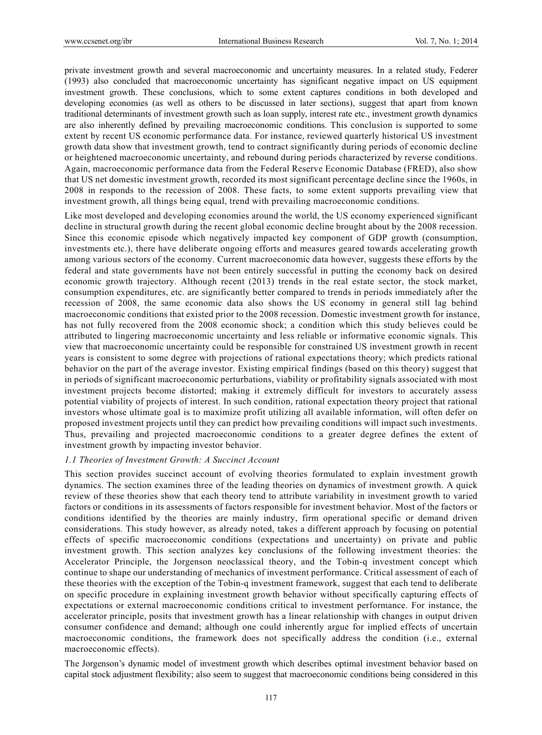private investment growth and several macroeconomic and uncertainty measures. In a related study, Federer (1993) also concluded that macroeconomic uncertainty has significant negative impact on US equipment investment growth. These conclusions, which to some extent captures conditions in both developed and developing economies (as well as others to be discussed in later sections), suggest that apart from known traditional determinants of investment growth such as loan supply, interest rate etc., investment growth dynamics are also inherently defined by prevailing macroeconomic conditions. This conclusion is supported to some extent by recent US economic performance data. For instance, reviewed quarterly historical US investment growth data show that investment growth, tend to contract significantly during periods of economic decline or heightened macroeconomic uncertainty, and rebound during periods characterized by reverse conditions. Again, macroeconomic performance data from the Federal Reserve Economic Database (FRED), also show that US net domestic investment growth, recorded its most significant percentage decline since the 1960s, in 2008 in responds to the recession of 2008. These facts, to some extent supports prevailing view that investment growth, all things being equal, trend with prevailing macroeconomic conditions.

Like most developed and developing economies around the world, the US economy experienced significant decline in structural growth during the recent global economic decline brought about by the 2008 recession. Since this economic episode which negatively impacted key component of GDP growth (consumption, investments etc.), there have deliberate ongoing efforts and measures geared towards accelerating growth among various sectors of the economy. Current macroeconomic data however, suggests these efforts by the federal and state governments have not been entirely successful in putting the economy back on desired economic growth trajectory. Although recent (2013) trends in the real estate sector, the stock market, consumption expenditures, etc. are significantly better compared to trends in periods immediately after the recession of 2008, the same economic data also shows the US economy in general still lag behind macroeconomic conditions that existed prior to the 2008 recession. Domestic investment growth for instance, has not fully recovered from the 2008 economic shock; a condition which this study believes could be attributed to lingering macroeconomic uncertainty and less reliable or informative economic signals. This view that macroeconomic uncertainty could be responsible for constrained US investment growth in recent years is consistent to some degree with projections of rational expectations theory; which predicts rational behavior on the part of the average investor. Existing empirical findings (based on this theory) suggest that in periods of significant macroeconomic perturbations, viability or profitability signals associated with most investment projects become distorted; making it extremely difficult for investors to accurately assess potential viability of projects of interest. In such condition, rational expectation theory project that rational investors whose ultimate goal is to maximize profit utilizing all available information, will often defer on proposed investment projects until they can predict how prevailing conditions will impact such investments. Thus, prevailing and projected macroeconomic conditions to a greater degree defines the extent of investment growth by impacting investor behavior.

# *1.1 Theories of Investment Growth: A Succinct Account*

This section provides succinct account of evolving theories formulated to explain investment growth dynamics. The section examines three of the leading theories on dynamics of investment growth. A quick review of these theories show that each theory tend to attribute variability in investment growth to varied factors or conditions in its assessments of factors responsible for investment behavior. Most of the factors or conditions identified by the theories are mainly industry, firm operational specific or demand driven considerations. This study however, as already noted, takes a different approach by focusing on potential effects of specific macroeconomic conditions (expectations and uncertainty) on private and public investment growth. This section analyzes key conclusions of the following investment theories: the Accelerator Principle, the Jorgenson neoclassical theory, and the Tobin-q investment concept which continue to shape our understanding of mechanics of investment performance. Critical assessment of each of these theories with the exception of the Tobin-q investment framework, suggest that each tend to deliberate on specific procedure in explaining investment growth behavior without specifically capturing effects of expectations or external macroeconomic conditions critical to investment performance. For instance, the accelerator principle, posits that investment growth has a linear relationship with changes in output driven consumer confidence and demand; although one could inherently argue for implied effects of uncertain macroeconomic conditions, the framework does not specifically address the condition (i.e., external macroeconomic effects).

The Jorgenson's dynamic model of investment growth which describes optimal investment behavior based on capital stock adjustment flexibility; also seem to suggest that macroeconomic conditions being considered in this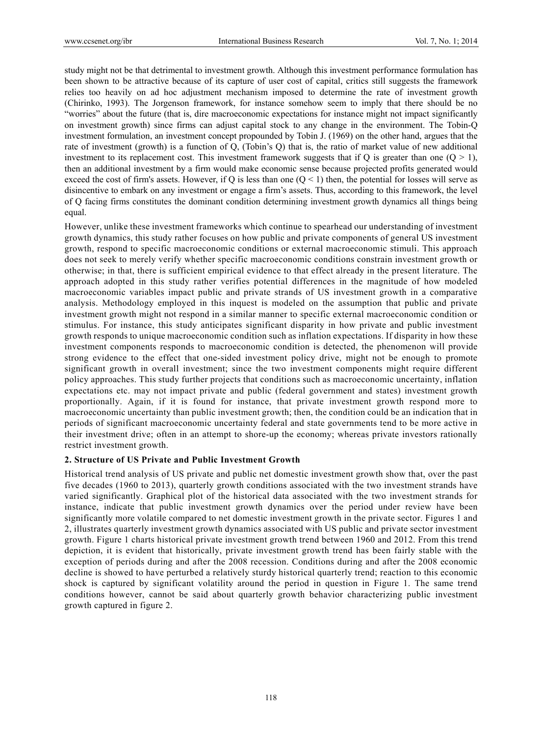study might not be that detrimental to investment growth. Although this investment performance formulation has been shown to be attractive because of its capture of user cost of capital, critics still suggests the framework relies too heavily on ad hoc adjustment mechanism imposed to determine the rate of investment growth (Chirinko, 1993). The Jorgenson framework, for instance somehow seem to imply that there should be no "worries" about the future (that is, dire macroeconomic expectations for instance might not impact significantly on investment growth) since firms can adjust capital stock to any change in the environment. The Tobin-Q investment formulation, an investment concept propounded by Tobin J. (1969) on the other hand, argues that the rate of investment (growth) is a function of Q, (Tobin's Q) that is, the ratio of market value of new additional investment to its replacement cost. This investment framework suggests that if Q is greater than one  $(Q > 1)$ , then an additional investment by a firm would make economic sense because projected profits generated would exceed the cost of firm's assets. However, if Q is less than one  $(Q \le 1)$  then, the potential for losses will serve as disincentive to embark on any investment or engage a firm's assets. Thus, according to this framework, the level of Q facing firms constitutes the dominant condition determining investment growth dynamics all things being equal.

However, unlike these investment frameworks which continue to spearhead our understanding of investment growth dynamics, this study rather focuses on how public and private components of general US investment growth, respond to specific macroeconomic conditions or external macroeconomic stimuli. This approach does not seek to merely verify whether specific macroeconomic conditions constrain investment growth or otherwise; in that, there is sufficient empirical evidence to that effect already in the present literature. The approach adopted in this study rather verifies potential differences in the magnitude of how modeled macroeconomic variables impact public and private strands of US investment growth in a comparative analysis. Methodology employed in this inquest is modeled on the assumption that public and private investment growth might not respond in a similar manner to specific external macroeconomic condition or stimulus. For instance, this study anticipates significant disparity in how private and public investment growth responds to unique macroeconomic condition such as inflation expectations. If disparity in how these investment components responds to macroeconomic condition is detected, the phenomenon will provide strong evidence to the effect that one-sided investment policy drive, might not be enough to promote significant growth in overall investment; since the two investment components might require different policy approaches. This study further projects that conditions such as macroeconomic uncertainty, inflation expectations etc. may not impact private and public (federal government and states) investment growth proportionally. Again, if it is found for instance, that private investment growth respond more to macroeconomic uncertainty than public investment growth; then, the condition could be an indication that in periods of significant macroeconomic uncertainty federal and state governments tend to be more active in their investment drive; often in an attempt to shore-up the economy; whereas private investors rationally restrict investment growth.

# **2. Structure of US Private and Public Investment Growth**

Historical trend analysis of US private and public net domestic investment growth show that, over the past five decades (1960 to 2013), quarterly growth conditions associated with the two investment strands have varied significantly. Graphical plot of the historical data associated with the two investment strands for instance, indicate that public investment growth dynamics over the period under review have been significantly more volatile compared to net domestic investment growth in the private sector. Figures 1 and 2, illustrates quarterly investment growth dynamics associated with US public and private sector investment growth. Figure 1 charts historical private investment growth trend between 1960 and 2012. From this trend depiction, it is evident that historically, private investment growth trend has been fairly stable with the exception of periods during and after the 2008 recession. Conditions during and after the 2008 economic decline is showed to have perturbed a relatively sturdy historical quarterly trend; reaction to this economic shock is captured by significant volatility around the period in question in Figure 1. The same trend conditions however, cannot be said about quarterly growth behavior characterizing public investment growth captured in figure 2.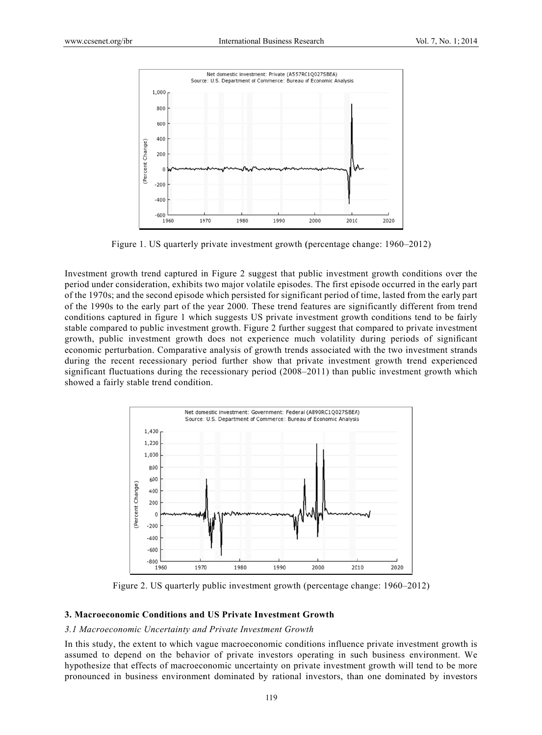

Figure 1. US quarterly private investment growth (percentage change: 1960–2012)

Investment growth trend captured in Figure 2 suggest that public investment growth conditions over the period under consideration, exhibits two major volatile episodes. The first episode occurred in the early part of the 1970s; and the second episode which persisted for significant period of time, lasted from the early part of the 1990s to the early part of the year 2000. These trend features are significantly different from trend conditions captured in figure 1 which suggests US private investment growth conditions tend to be fairly stable compared to public investment growth. Figure 2 further suggest that compared to private investment growth, public investment growth does not experience much volatility during periods of significant economic perturbation. Comparative analysis of growth trends associated with the two investment strands during the recent recessionary period further show that private investment growth trend experienced significant fluctuations during the recessionary period (2008–2011) than public investment growth which showed a fairly stable trend condition.



Figure 2. US quarterly public investment growth (percentage change: 1960–2012)

#### **3. Macroeconomic Conditions and US Private Investment Growth**

#### 3.1 Macroeconomic Uncertainty and Private Investment Growth

In this study, the extent to which vague macroeconomic conditions influence private investment growth is assumed to depend on the behavior of private investors operating in such business environment. We hypothesize that effects of macroeconomic uncertainty on private investment growth will tend to be more pronounced in business environment dominated by rational investors, than one dominated by investors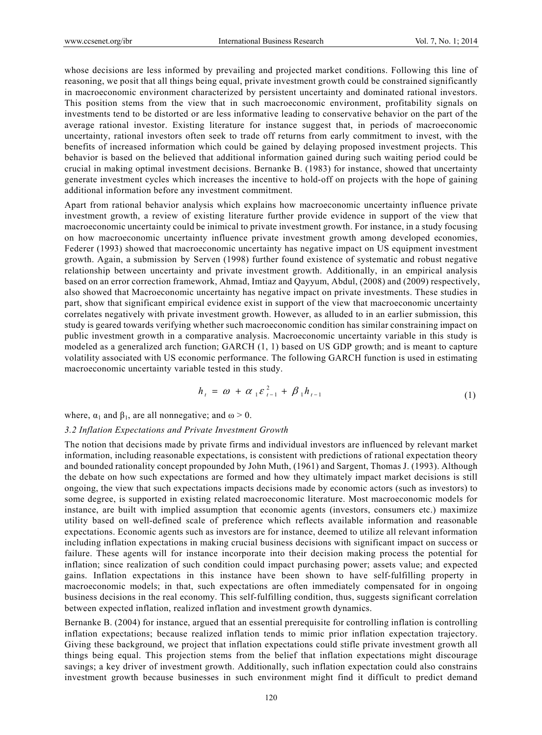whose decisions are less informed by prevailing and projected market conditions. Following this line of reasoning, we posit that all things being equal, private investment growth could be constrained significantly in macroeconomic environment characterized by persistent uncertainty and dominated rational investors. This position stems from the view that in such macroeconomic environment, profitability signals on investments tend to be distorted or are less informative leading to conservative behavior on the part of the average rational investor. Existing literature for instance suggest that, in periods of macroeconomic uncertainty, rational investors often seek to trade off returns from early commitment to invest, with the benefits of increased information which could be gained by delaying proposed investment projects. This behavior is based on the believed that additional information gained during such waiting period could be crucial in making optimal investment decisions. Bernanke B. (1983) for instance, showed that uncertainty generate investment cycles which increases the incentive to hold-off on projects with the hope of gaining additional information before any investment commitment.

Apart from rational behavior analysis which explains how macroeconomic uncertainty influence private investment growth, a review of existing literature further provide evidence in support of the view that macroeconomic uncertainty could be inimical to private investment growth. For instance, in a study focusing on how macroeconomic uncertainty influence private investment growth among developed economies, Federer (1993) showed that macroeconomic uncertainty has negative impact on US equipment investment growth. Again, a submission by Serven (1998) further found existence of systematic and robust negative relationship between uncertainty and private investment growth. Additionally, in an empirical analysis based on an error correction framework, Ahmad, Imtiaz and Qayyum, Abdul, (2008) and (2009) respectively, also showed that Macroeconomic uncertainty has negative impact on private investments. These studies in part, show that significant empirical evidence exist in support of the view that macroeconomic uncertainty correlates negatively with private investment growth. However, as alluded to in an earlier submission, this study is geared towards verifying whether such macroeconomic condition has similar constraining impact on public investment growth in a comparative analysis. Macroeconomic uncertainty variable in this study is modeled as a generalized arch function; GARCH (1, 1) based on US GDP growth; and is meant to capture volatility associated with US economic performance. The following GARCH function is used in estimating macroeconomic uncertainty variable tested in this study.

$$
h_{t} = \omega + \alpha_{1} \varepsilon_{t-1}^{2} + \beta_{1} h_{t-1}
$$
\n(1)

where,  $\alpha_1$  and  $\beta_1$ , are all nonnegative; and  $\omega > 0$ .

#### *3.2 Inflation Expectations and Private Investment Growth*

The notion that decisions made by private firms and individual investors are influenced by relevant market information, including reasonable expectations, is consistent with predictions of rational expectation theory and bounded rationality concept propounded by John Muth, (1961) and Sargent, Thomas J. (1993). Although the debate on how such expectations are formed and how they ultimately impact market decisions is still ongoing, the view that such expectations impacts decisions made by economic actors (such as investors) to some degree, is supported in existing related macroeconomic literature. Most macroeconomic models for instance, are built with implied assumption that economic agents (investors, consumers etc.) maximize utility based on well-defined scale of preference which reflects available information and reasonable expectations. Economic agents such as investors are for instance, deemed to utilize all relevant information including inflation expectations in making crucial business decisions with significant impact on success or failure. These agents will for instance incorporate into their decision making process the potential for inflation; since realization of such condition could impact purchasing power; assets value; and expected gains. Inflation expectations in this instance have been shown to have self-fulfilling property in macroeconomic models; in that, such expectations are often immediately compensated for in ongoing business decisions in the real economy. This self-fulfilling condition, thus, suggests significant correlation between expected inflation, realized inflation and investment growth dynamics.

Bernanke B. (2004) for instance, argued that an essential prerequisite for controlling inflation is controlling inflation expectations; because realized inflation tends to mimic prior inflation expectation trajectory. Giving these background, we project that inflation expectations could stifle private investment growth all things being equal. This projection stems from the belief that inflation expectations might discourage savings; a key driver of investment growth. Additionally, such inflation expectation could also constrains investment growth because businesses in such environment might find it difficult to predict demand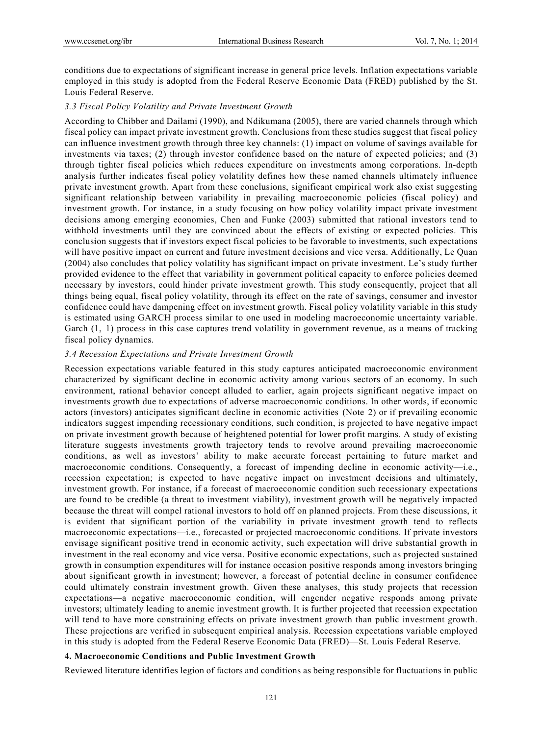conditions due to expectations of significant increase in general price levels. Inflation expectations variable employed in this study is adopted from the Federal Reserve Economic Data (FRED) published by the St. Louis Federal Reserve.

## *3.3 Fiscal Policy Volatility and Private Investment Growth*

According to Chibber and Dailami (1990), and Ndikumana (2005), there are varied channels through which fiscal policy can impact private investment growth. Conclusions from these studies suggest that fiscal policy can influence investment growth through three key channels: (1) impact on volume of savings available for investments via taxes; (2) through investor confidence based on the nature of expected policies; and (3) through tighter fiscal policies which reduces expenditure on investments among corporations. In-depth analysis further indicates fiscal policy volatility defines how these named channels ultimately influence private investment growth. Apart from these conclusions, significant empirical work also exist suggesting significant relationship between variability in prevailing macroeconomic policies (fiscal policy) and investment growth. For instance, in a study focusing on how policy volatility impact private investment decisions among emerging economies, Chen and Funke (2003) submitted that rational investors tend to withhold investments until they are convinced about the effects of existing or expected policies. This conclusion suggests that if investors expect fiscal policies to be favorable to investments, such expectations will have positive impact on current and future investment decisions and vice versa. Additionally, Le Quan (2004) also concludes that policy volatility has significant impact on private investment. Le's study further provided evidence to the effect that variability in government political capacity to enforce policies deemed necessary by investors, could hinder private investment growth. This study consequently, project that all things being equal, fiscal policy volatility, through its effect on the rate of savings, consumer and investor confidence could have dampening effect on investment growth. Fiscal policy volatility variable in this study is estimated using GARCH process similar to one used in modeling macroeconomic uncertainty variable. Garch (1, 1) process in this case captures trend volatility in government revenue, as a means of tracking fiscal policy dynamics.

## *3.4 Recession Expectations and Private Investment Growth*

Recession expectations variable featured in this study captures anticipated macroeconomic environment characterized by significant decline in economic activity among various sectors of an economy. In such environment, rational behavior concept alluded to earlier, again projects significant negative impact on investments growth due to expectations of adverse macroeconomic conditions. In other words, if economic actors (investors) anticipates significant decline in economic activities (Note 2) or if prevailing economic indicators suggest impending recessionary conditions, such condition, is projected to have negative impact on private investment growth because of heightened potential for lower profit margins. A study of existing literature suggests investments growth trajectory tends to revolve around prevailing macroeconomic conditions, as well as investors' ability to make accurate forecast pertaining to future market and macroeconomic conditions. Consequently, a forecast of impending decline in economic activity—i.e., recession expectation; is expected to have negative impact on investment decisions and ultimately, investment growth. For instance, if a forecast of macroeconomic condition such recessionary expectations are found to be credible (a threat to investment viability), investment growth will be negatively impacted because the threat will compel rational investors to hold off on planned projects. From these discussions, it is evident that significant portion of the variability in private investment growth tend to reflects macroeconomic expectations—i.e., forecasted or projected macroeconomic conditions. If private investors envisage significant positive trend in economic activity, such expectation will drive substantial growth in investment in the real economy and vice versa. Positive economic expectations, such as projected sustained growth in consumption expenditures will for instance occasion positive responds among investors bringing about significant growth in investment; however, a forecast of potential decline in consumer confidence could ultimately constrain investment growth. Given these analyses, this study projects that recession expectations—a negative macroeconomic condition, will engender negative responds among private investors; ultimately leading to anemic investment growth. It is further projected that recession expectation will tend to have more constraining effects on private investment growth than public investment growth. These projections are verified in subsequent empirical analysis. Recession expectations variable employed in this study is adopted from the Federal Reserve Economic Data (FRED)—St. Louis Federal Reserve.

## **4. Macroeconomic Conditions and Public Investment Growth**

Reviewed literature identifies legion of factors and conditions as being responsible for fluctuations in public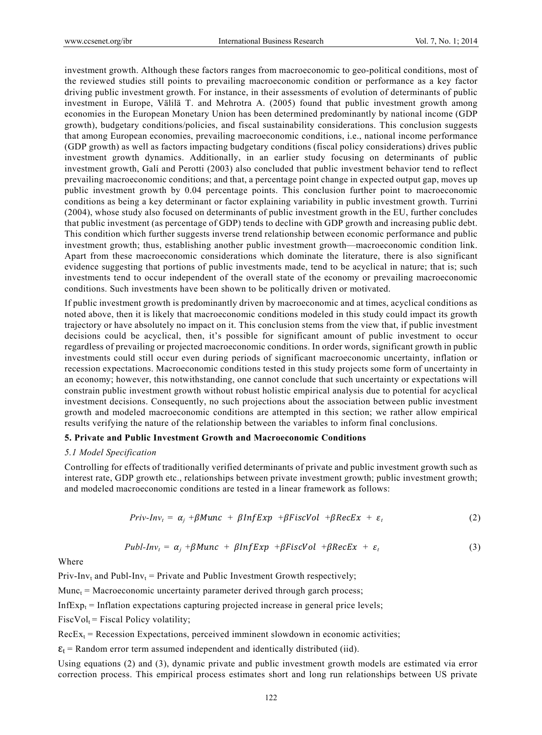investment growth. Although these factors ranges from macroeconomic to geo-political conditions, most of the reviewed studies still points to prevailing macroeconomic condition or performance as a key factor driving public investment growth. For instance, in their assessments of evolution of determinants of public investment in Europe, Välilä T. and Mehrotra A. (2005) found that public investment growth among economies in the European Monetary Union has been determined predominantly by national income (GDP growth), budgetary conditions/policies, and fiscal sustainability considerations. This conclusion suggests that among European economies, prevailing macroeconomic conditions, i.e., national income performance (GDP growth) as well as factors impacting budgetary conditions (fiscal policy considerations) drives public investment growth dynamics. Additionally, in an earlier study focusing on determinants of public investment growth, Galí and Perotti (2003) also concluded that public investment behavior tend to reflect prevailing macroeconomic conditions; and that, a percentage point change in expected output gap, moves up public investment growth by 0.04 percentage points. This conclusion further point to macroeconomic conditions as being a key determinant or factor explaining variability in public investment growth. Turrini (2004), whose study also focused on determinants of public investment growth in the EU, further concludes that public investment (as percentage of GDP) tends to decline with GDP growth and increasing public debt. This condition which further suggests inverse trend relationship between economic performance and public investment growth; thus, establishing another public investment growth—macroeconomic condition link. Apart from these macroeconomic considerations which dominate the literature, there is also significant evidence suggesting that portions of public investments made, tend to be acyclical in nature; that is; such investments tend to occur independent of the overall state of the economy or prevailing macroeconomic conditions. Such investments have been shown to be politically driven or motivated.

If public investment growth is predominantly driven by macroeconomic and at times, acyclical conditions as noted above, then it is likely that macroeconomic conditions modeled in this study could impact its growth trajectory or have absolutely no impact on it. This conclusion stems from the view that, if public investment decisions could be acyclical, then, it's possible for significant amount of public investment to occur regardless of prevailing or projected macroeconomic conditions. In order words, significant growth in public investments could still occur even during periods of significant macroeconomic uncertainty, inflation or recession expectations. Macroeconomic conditions tested in this study projects some form of uncertainty in an economy; however, this notwithstanding, one cannot conclude that such uncertainty or expectations will constrain public investment growth without robust holistic empirical analysis due to potential for acyclical investment decisions. Consequently, no such projections about the association between public investment growth and modeled macroeconomic conditions are attempted in this section; we rather allow empirical results verifying the nature of the relationship between the variables to inform final conclusions.

## **5. Private and Public Investment Growth and Macroeconomic Conditions**

## *5.1 Model Specification*

Controlling for effects of traditionally verified determinants of private and public investment growth such as interest rate, GDP growth etc., relationships between private investment growth; public investment growth; and modeled macroeconomic conditions are tested in a linear framework as follows:

$$
Priv-Inv_t = \alpha_j + \beta Munc + \beta InfExp + \beta FischerVol + \beta RecEx + \varepsilon_t \qquad (2)
$$

$$
Publ-Inv_t = \alpha_j + \beta Munc + \beta InfExp + \beta Fischerol + \beta RecEx + \varepsilon_t \qquad (3)
$$

Where

Priv-Inv<sub>t</sub> and Publ-Inv<sub>t</sub> = Private and Public Investment Growth respectively;

 $Munc_t$  = Macroeconomic uncertainty parameter derived through garch process;

InfEx $p_t$  = Inflation expectations capturing projected increase in general price levels;

 $FiscVol_t = Fiscal Policy volatility;$ 

 $RecEx<sub>t</sub>$  = Recession Expectations, perceived imminent slowdown in economic activities;

 $\varepsilon_t$  = Random error term assumed independent and identically distributed (iid).

Using equations (2) and (3), dynamic private and public investment growth models are estimated via error correction process. This empirical process estimates short and long run relationships between US private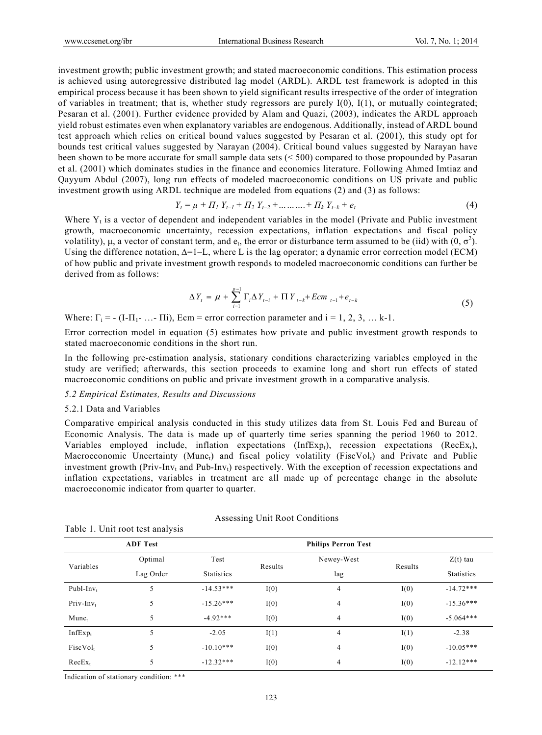investment growth; public investment growth; and stated macroeconomic conditions. This estimation process is achieved using autoregressive distributed lag model (ARDL). ARDL test framework is adopted in this empirical process because it has been shown to yield significant results irrespective of the order of integration of variables in treatment; that is, whether study regressors are purely  $I(0)$ ,  $I(1)$ , or mutually cointegrated; Pesaran et al. (2001). Further evidence provided by Alam and Quazi, (2003), indicates the ARDL approach yield robust estimates even when explanatory variables are endogenous. Additionally, instead of ARDL bound test approach which relies on critical bound values suggested by Pesaran et al. (2001), this study opt for bounds test critical values suggested by Narayan (2004). Critical bound values suggested by Narayan have been shown to be more accurate for small sample data sets (< 500) compared to those propounded by Pasaran et al. (2001) which dominates studies in the finance and economics literature. Following Ahmed Imtiaz and Qayyum Abdul (2007), long run effects of modeled macroeconomic conditions on US private and public investment growth using ARDL technique are modeled from equations (2) and (3) as follows:

$$
Y_{t} = \mu + \Pi_{1} Y_{t-1} + \Pi_{2} Y_{t-2} + \dots + \Pi_{k} Y_{t-k} + e_{t}
$$
\n(4)

Where  $Y_t$  is a vector of dependent and independent variables in the model (Private and Public investment growth, macroeconomic uncertainty, recession expectations, inflation expectations and fiscal policy volatility),  $\mu$ , a vector of constant term, and  $e_t$ , the error or disturbance term assumed to be (iid) with  $(0, \sigma^2)$ . Using the difference notation,  $\Delta$ =1–L, where L is the lag operator; a dynamic error correction model (ECM) of how public and private investment growth responds to modeled macroeconomic conditions can further be derived from as follows:

$$
\Delta Y_{t} = \mu + \sum_{i=1}^{p-1} \Gamma_{i} \Delta Y_{t-i} + \Pi Y_{t-k} + Ecm_{t-1} + e_{t-k}
$$
\n(5)

Where:  $\Gamma_i = - (I - \Pi_1 - \dots - \Pi_i)$ , Ecm = error correction parameter and  $i = 1, 2, 3, \dots k-1$ .

Error correction model in equation (5) estimates how private and public investment growth responds to stated macroeconomic conditions in the short run.

In the following pre-estimation analysis, stationary conditions characterizing variables employed in the study are verified; afterwards, this section proceeds to examine long and short run effects of stated macroeconomic conditions on public and private investment growth in a comparative analysis.

## *5.2 Empirical Estimates, Results and Discussions*

#### 5.2.1 Data and Variables

Comparative empirical analysis conducted in this study utilizes data from St. Louis Fed and Bureau of Economic Analysis. The data is made up of quarterly time series spanning the period 1960 to 2012. Variables employed include, inflation expectations (InfExp<sub>t</sub>), recession expectations (RecEx<sub>t</sub>), Macroeconomic Uncertainty (Munc<sub>t</sub>) and fiscal policy volatility (FiscVol<sub>t</sub>) and Private and Public investment growth (Priv-Inv<sub>t</sub> and Pub-Inv<sub>t</sub>) respectively. With the exception of recession expectations and inflation expectations, variables in treatment are all made up of percentage change in the absolute macroeconomic indicator from quarter to quarter.

|                      | <b>ADF</b> Test |                   |         |                |         |                   |
|----------------------|-----------------|-------------------|---------|----------------|---------|-------------------|
|                      | Optimal         | Test              |         | Newey-West     | Results | $Z(t)$ tau        |
| Variables            | Lag Order       | <b>Statistics</b> | Results | lag            |         | <b>Statistics</b> |
| Publ-In $v_t$        | 5               | $-14.53***$       | I(0)    | 4              | I(0)    | $-14.72***$       |
| $Priv$ -In $v_t$     | 5               | $-15.26***$       | I(0)    | $\overline{4}$ | I(0)    | $-15.36***$       |
| $M$ unc $t$          | 5               | $-4.92***$        | I(0)    | 4              | I(0)    | $-5.064***$       |
| $InfExp_t$           | 5               | $-2.05$           | I(1)    | $\overline{4}$ | I(1)    | $-2.38$           |
| FiscVol <sub>t</sub> | 5               | $-10.10***$       | I(0)    | $\overline{4}$ | I(0)    | $-10.05***$       |
| $RecEx_t$            | 5               | $-12.32***$       | I(0)    | 4              | I(0)    | $-12.12***$       |

## Assessing Unit Root Conditions

Indication of stationary condition: \*\*\*

Table 1. Unit root test analysis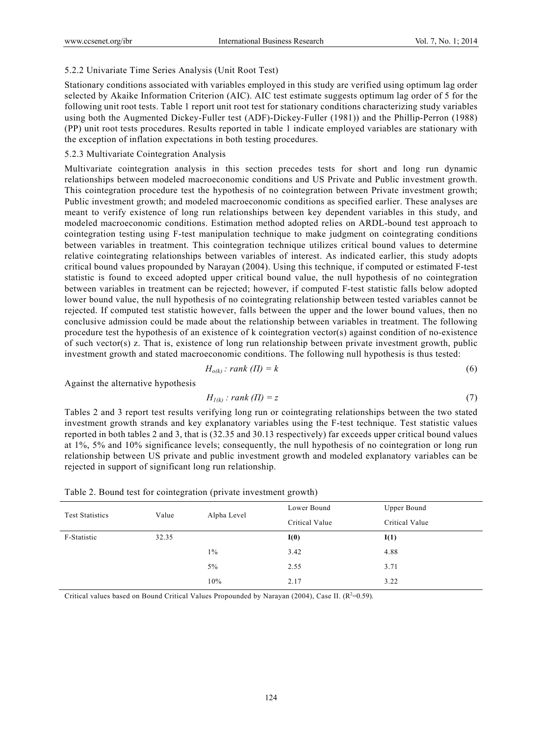# 5.2.2 Univariate Time Series Analysis (Unit Root Test)

Stationary conditions associated with variables employed in this study are verified using optimum lag order selected by Akaike Information Criterion (AIC). AIC test estimate suggests optimum lag order of 5 for the following unit root tests. Table 1 report unit root test for stationary conditions characterizing study variables using both the Augmented Dickey-Fuller test (ADF)-Dickey-Fuller (1981)) and the Phillip-Perron (1988) (PP) unit root tests procedures. Results reported in table 1 indicate employed variables are stationary with the exception of inflation expectations in both testing procedures.

## 5.2.3 Multivariate Cointegration Analysis

Multivariate cointegration analysis in this section precedes tests for short and long run dynamic relationships between modeled macroeconomic conditions and US Private and Public investment growth. This cointegration procedure test the hypothesis of no cointegration between Private investment growth; Public investment growth; and modeled macroeconomic conditions as specified earlier. These analyses are meant to verify existence of long run relationships between key dependent variables in this study, and modeled macroeconomic conditions. Estimation method adopted relies on ARDL-bound test approach to cointegration testing using F-test manipulation technique to make judgment on cointegrating conditions between variables in treatment. This cointegration technique utilizes critical bound values to determine relative cointegrating relationships between variables of interest. As indicated earlier, this study adopts critical bound values propounded by Narayan (2004). Using this technique, if computed or estimated F-test statistic is found to exceed adopted upper critical bound value, the null hypothesis of no cointegration between variables in treatment can be rejected; however, if computed F-test statistic falls below adopted lower bound value, the null hypothesis of no cointegrating relationship between tested variables cannot be rejected. If computed test statistic however, falls between the upper and the lower bound values, then no conclusive admission could be made about the relationship between variables in treatment. The following procedure test the hypothesis of an existence of k cointegration vector(s) against condition of no-existence of such vector(s) z. That is, existence of long run relationship between private investment growth, public investment growth and stated macroeconomic conditions. The following null hypothesis is thus tested:

$$
H_{o(k)}: rank\ (II) = k \tag{6}
$$

Against the alternative hypothesis

$$
H_{I(k)}: rank (\Pi) = z \tag{7}
$$

Tables 2 and 3 report test results verifying long run or cointegrating relationships between the two stated investment growth strands and key explanatory variables using the F-test technique. Test statistic values reported in both tables 2 and 3, that is (32.35 and 30.13 respectively) far exceeds upper critical bound values at 1%, 5% and 10% significance levels; consequently, the null hypothesis of no cointegration or long run relationship between US private and public investment growth and modeled explanatory variables can be rejected in support of significant long run relationship.

| <b>Test Statistics</b> | Value | Alpha Level | Lower Bound    | Upper Bound    |
|------------------------|-------|-------------|----------------|----------------|
|                        |       |             | Critical Value | Critical Value |
| F-Statistic            | 32.35 |             | I(0)           | I(1)           |
|                        |       | $1\%$       | 3.42           | 4.88           |
|                        |       | 5%          | 2.55           | 3.71           |
|                        |       | 10%         | 2.17           | 3.22           |

|  | Table 2. Bound test for cointegration (private investment growth) |  |  |  |  |
|--|-------------------------------------------------------------------|--|--|--|--|
|--|-------------------------------------------------------------------|--|--|--|--|

Critical values based on Bound Critical Values Propounded by Narayan (2004), Case II.  $(R^2=0.59)$ .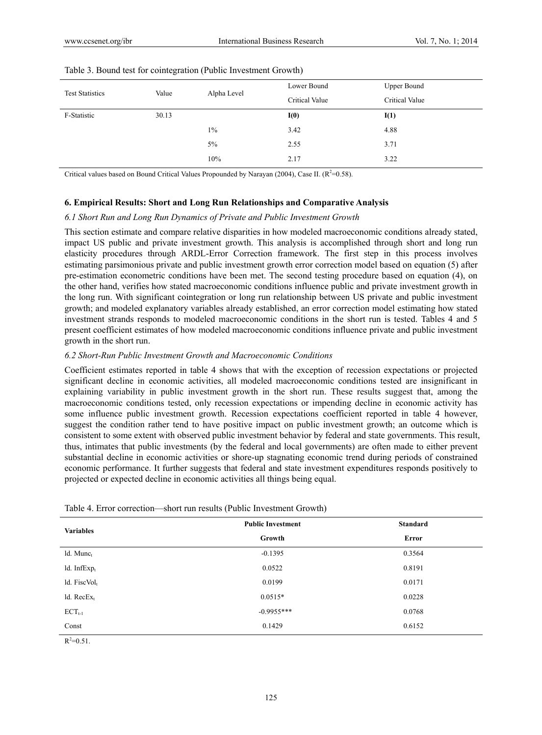|       |       | Lower Bound    | <b>Upper Bound</b> |
|-------|-------|----------------|--------------------|
|       |       | Critical Value | Critical Value     |
| 30.13 |       | I(0)           | I(1)               |
|       | $1\%$ | 3.42           | 4.88               |
|       | 5%    | 2.55           | 3.71               |
|       | 10%   | 2.17           | 3.22               |
|       | Value | Alpha Level    |                    |

|  | Table 3. Bound test for cointegration (Public Investment Growth) |  |  |  |
|--|------------------------------------------------------------------|--|--|--|
|--|------------------------------------------------------------------|--|--|--|

Critical values based on Bound Critical Values Propounded by Narayan (2004), Case II.  $(R^2=0.58)$ .

## **6. Empirical Results: Short and Long Run Relationships and Comparative Analysis**

#### *6.1 Short Run and Long Run Dynamics of Private and Public Investment Growth*

This section estimate and compare relative disparities in how modeled macroeconomic conditions already stated, impact US public and private investment growth. This analysis is accomplished through short and long run elasticity procedures through ARDL-Error Correction framework. The first step in this process involves estimating parsimonious private and public investment growth error correction model based on equation (5) after pre-estimation econometric conditions have been met. The second testing procedure based on equation (4), on the other hand, verifies how stated macroeconomic conditions influence public and private investment growth in the long run. With significant cointegration or long run relationship between US private and public investment growth; and modeled explanatory variables already established, an error correction model estimating how stated investment strands responds to modeled macroeconomic conditions in the short run is tested. Tables 4 and 5 present coefficient estimates of how modeled macroeconomic conditions influence private and public investment growth in the short run.

## *6.2 Short-Run Public Investment Growth and Macroeconomic Conditions*

Coefficient estimates reported in table 4 shows that with the exception of recession expectations or projected significant decline in economic activities, all modeled macroeconomic conditions tested are insignificant in explaining variability in public investment growth in the short run. These results suggest that, among the macroeconomic conditions tested, only recession expectations or impending decline in economic activity has some influence public investment growth. Recession expectations coefficient reported in table 4 however, suggest the condition rather tend to have positive impact on public investment growth; an outcome which is consistent to some extent with observed public investment behavior by federal and state governments. This result, thus, intimates that public investments (by the federal and local governments) are often made to either prevent substantial decline in economic activities or shore-up stagnating economic trend during periods of constrained economic performance. It further suggests that federal and state investment expenditures responds positively to projected or expected decline in economic activities all things being equal.

| <b>Variables</b> | <b>Public Investment</b> | <b>Standard</b> |
|------------------|--------------------------|-----------------|
|                  | Growth                   | Error           |
| ld. Munct        | $-0.1395$                | 0.3564          |
| ld. Inf $Exp_t$  | 0.0522                   | 0.8191          |
| ld. Fisc $Vol_t$ | 0.0199                   | 0.0171          |
| ld. $RecEx_t$    | $0.0515*$                | 0.0228          |
| $ECT_{t-1}$      | $-0.9955***$             | 0.0768          |
| Const            | 0.1429                   | 0.6152          |
|                  |                          |                 |

 $R^2 = 0.51$ .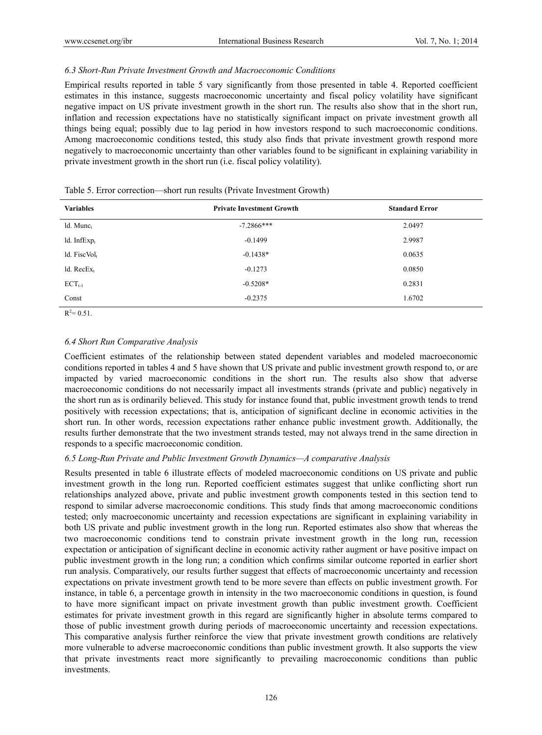## *6.3 Short-Run Private Investment Growth and Macroeconomic Conditions*

Empirical results reported in table 5 vary significantly from those presented in table 4. Reported coefficient estimates in this instance, suggests macroeconomic uncertainty and fiscal policy volatility have significant negative impact on US private investment growth in the short run. The results also show that in the short run, inflation and recession expectations have no statistically significant impact on private investment growth all things being equal; possibly due to lag period in how investors respond to such macroeconomic conditions. Among macroeconomic conditions tested, this study also finds that private investment growth respond more negatively to macroeconomic uncertainty than other variables found to be significant in explaining variability in private investment growth in the short run (i.e. fiscal policy volatility).

| <b>Variables</b> | <b>Private Investment Growth</b> | <b>Standard Error</b> |  |
|------------------|----------------------------------|-----------------------|--|
| $ld.$ Munc $t$   | $-7.2866***$                     | 2.0497                |  |
| ld. Inf $Exp_t$  | $-0.1499$                        | 2.9987                |  |
| ld. Fisc $Vol_t$ | $-0.1438*$                       | 0.0635                |  |
| ld. $RecEx_t$    | $-0.1273$                        | 0.0850                |  |
| $ECT_{t-1}$      | $-0.5208*$                       | 0.2831                |  |
| Const            | $-0.2375$                        | 1.6702                |  |
|                  |                                  |                       |  |

|  | Table 5. Error correction—short run results (Private Investment Growth) |
|--|-------------------------------------------------------------------------|
|  |                                                                         |

 $R^2 = 0.51$ .

## *6.4 Short Run Comparative Analysis*

Coefficient estimates of the relationship between stated dependent variables and modeled macroeconomic conditions reported in tables 4 and 5 have shown that US private and public investment growth respond to, or are impacted by varied macroeconomic conditions in the short run. The results also show that adverse macroeconomic conditions do not necessarily impact all investments strands (private and public) negatively in the short run as is ordinarily believed. This study for instance found that, public investment growth tends to trend positively with recession expectations; that is, anticipation of significant decline in economic activities in the short run. In other words, recession expectations rather enhance public investment growth. Additionally, the results further demonstrate that the two investment strands tested, may not always trend in the same direction in responds to a specific macroeconomic condition.

## *6.5 Long-Run Private and Public Investment Growth Dynamics—A comparative Analysis*

Results presented in table 6 illustrate effects of modeled macroeconomic conditions on US private and public investment growth in the long run. Reported coefficient estimates suggest that unlike conflicting short run relationships analyzed above, private and public investment growth components tested in this section tend to respond to similar adverse macroeconomic conditions. This study finds that among macroeconomic conditions tested; only macroeconomic uncertainty and recession expectations are significant in explaining variability in both US private and public investment growth in the long run. Reported estimates also show that whereas the two macroeconomic conditions tend to constrain private investment growth in the long run, recession expectation or anticipation of significant decline in economic activity rather augment or have positive impact on public investment growth in the long run; a condition which confirms similar outcome reported in earlier short run analysis. Comparatively, our results further suggest that effects of macroeconomic uncertainty and recession expectations on private investment growth tend to be more severe than effects on public investment growth. For instance, in table 6, a percentage growth in intensity in the two macroeconomic conditions in question, is found to have more significant impact on private investment growth than public investment growth. Coefficient estimates for private investment growth in this regard are significantly higher in absolute terms compared to those of public investment growth during periods of macroeconomic uncertainty and recession expectations. This comparative analysis further reinforce the view that private investment growth conditions are relatively more vulnerable to adverse macroeconomic conditions than public investment growth. It also supports the view that private investments react more significantly to prevailing macroeconomic conditions than public investments.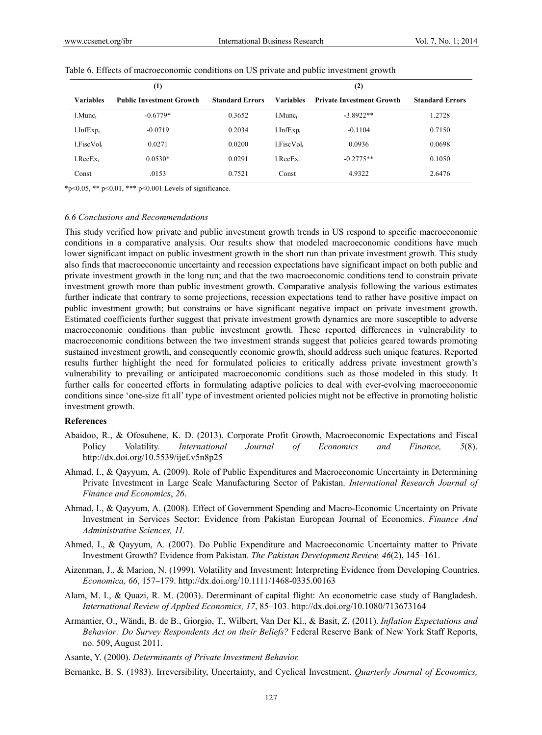|                  | $\scriptstyle{(1)}$             |                        |                     | (2)                              |                        |
|------------------|---------------------------------|------------------------|---------------------|----------------------------------|------------------------|
| <b>Variables</b> | <b>Public Investment Growth</b> | <b>Standard Errors</b> | <b>Variables</b>    | <b>Private Investment Growth</b> | <b>Standard Errors</b> |
| $1$ . Munc $1$   | $-0.6779*$                      | 0.3652                 | l.Munc <sub>t</sub> | $-3.8922**$                      | 1.2728                 |
| $1.$ Inf $Exp_t$ | $-0.0719$                       | 0.2034                 | l.InfExp.           | $-0.1104$                        | 0.7150                 |
| $1.$ Fisc $Volt$ | 0.0271                          | 0.0200                 | l.FiscVol.          | 0.0936                           | 0.0698                 |
| $1_{.}RecEx_{t}$ | $0.0530*$                       | 0.0291                 | l.RecEx.            | $-0.2775**$                      | 0.1050                 |
| Const            | .0153                           | 0.7521                 | Const               | 4.9322                           | 2.6476                 |

|  |  |  | Table 6. Effects of macroeconomic conditions on US private and public investment growth |  |
|--|--|--|-----------------------------------------------------------------------------------------|--|
|  |  |  |                                                                                         |  |

\*p<0.05, \*\* p<0.01, \*\*\* p<0.001 Levels of significance.

#### *6.6 Conclusions and Recommendations*

This study verified how private and public investment growth trends in US respond to specific macroeconomic conditions in a comparative analysis. Our results show that modeled macroeconomic conditions have much lower significant impact on public investment growth in the short run than private investment growth. This study also finds that macroeconomic uncertainty and recession expectations have significant impact on both public and private investment growth in the long run; and that the two macroeconomic conditions tend to constrain private investment growth more than public investment growth. Comparative analysis following the various estimates further indicate that contrary to some projections, recession expectations tend to rather have positive impact on public investment growth; but constrains or have significant negative impact on private investment growth. Estimated coefficients further suggest that private investment growth dynamics are more susceptible to adverse macroeconomic conditions than public investment growth. These reported differences in vulnerability to macroeconomic conditions between the two investment strands suggest that policies geared towards promoting sustained investment growth, and consequently economic growth, should address such unique features. Reported results further highlight the need for formulated policies to critically address private investment growth's vulnerability to prevailing or anticipated macroeconomic conditions such as those modeled in this study. It further calls for concerted efforts in formulating adaptive policies to deal with ever-evolving macroeconomic conditions since 'one-size fit all' type of investment oriented policies might not be effective in promoting holistic investment growth.

#### **References**

- Abaidoo, R., & Ofosuhene, K. D. (2013). Corporate Profit Growth, Macroeconomic Expectations and Fiscal Policy Volatility. *International Journal of Economics and Finance, 5*(8). http://dx.doi.org/10.5539/ijef.v5n8p25
- Ahmad, I., & Qayyum, A. (2009). Role of Public Expenditures and Macroeconomic Uncertainty in Determining Private Investment in Large Scale Manufacturing Sector of Pakistan. *International Research Journal of Finance and Economics*, *26*.
- Ahmad, I., & Qayyum, A. (2008). Effect of Government Spending and Macro-Economic Uncertainty on Private Investment in Services Sector: Evidence from Pakistan European Journal of Economics. *Finance And Administrative Sciences, 11.*
- Ahmed, I., & Qayyum, A. (2007). Do Public Expenditure and Macroeconomic Uncertainty matter to Private Investment Growth? Evidence from Pakistan. *The Pakistan Development Review, 46*(2), 145–161.
- Aizenman, J., & Marion, N. (1999). Volatility and Investment: Interpreting Evidence from Developing Countries. *Economica, 66*, 157–179. http://dx.doi.org/10.1111/1468-0335.00163
- Alam, M. I., & Quazi, R. M. (2003). Determinant of capital flight: An econometric case study of Bangladesh. *International Review of Applied Economics, 17*, 85–103. http://dx.doi.org/10.1080/713673164
- Armantier, O., Wändi, B. de B., Giorgio, T., Wilbert, Van Der Kl., & Basit, Z. (2011). *Inflation Expectations and Behavior: Do Survey Respondents Act on their Beliefs?* Federal Reserve Bank of New York Staff Reports, no. 509, August 2011.
- Asante, Y. (2000). *Determinants of Private Investment Behavior.*
- Bernanke, B. S. (1983). Irreversibility, Uncertainty, and Cyclical Investment. *Quarterly Journal of Economics,*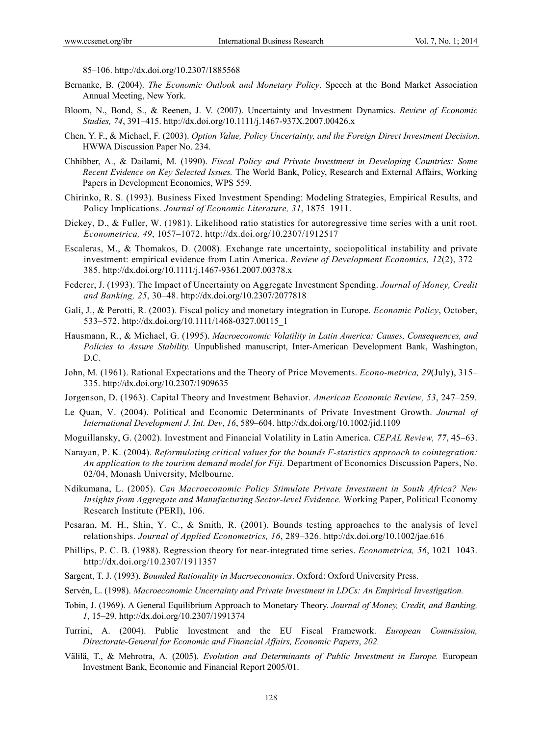85–106. http://dx.doi.org/10.2307/1885568

- Bernanke, B. (2004). *The Economic Outlook and Monetary Policy*. Speech at the Bond Market Association Annual Meeting, New York.
- Bloom, N., Bond, S., & Reenen, J. V. (2007). Uncertainty and Investment Dynamics. *Review of Economic Studies, 74*, 391–415. http://dx.doi.org/10.1111/j.1467-937X.2007.00426.x
- Chen, Y. F., & Michael, F. (2003). *Option Value, Policy Uncertainty, and the Foreign Direct Investment Decision.*  HWWA Discussion Paper No. 234.
- Chhibber, A., & Dailami, M. (1990). *Fiscal Policy and Private Investment in Developing Countries: Some Recent Evidence on Key Selected Issues.* The World Bank, Policy, Research and External Affairs, Working Papers in Development Economics, WPS 559.
- Chirinko, R. S. (1993). Business Fixed Investment Spending: Modeling Strategies, Empirical Results, and Policy Implications. *Journal of Economic Literature, 31*, 1875–1911.
- Dickey, D., & Fuller, W. (1981). Likelihood ratio statistics for autoregressive time series with a unit root. *Econometrica, 49*, 1057–1072. http://dx.doi.org/10.2307/1912517
- Escaleras, M., & Thomakos, D. (2008). Exchange rate uncertainty, sociopolitical instability and private investment: empirical evidence from Latin America. *Review of Development Economics, 12*(2), 372– 385. http://dx.doi.org/10.1111/j.1467-9361.2007.00378.x
- Federer, J. (1993). The Impact of Uncertainty on Aggregate Investment Spending. *Journal of Money, Credit and Banking, 25*, 30–48. http://dx.doi.org/10.2307/2077818
- Galí, J., & Perotti, R. (2003). Fiscal policy and monetary integration in Europe. *Economic Policy*, October, 533–572. http://dx.doi.org/10.1111/1468-0327.00115\_1
- Hausmann, R., & Michael, G. (1995). *Macroeconomic Volatility in Latin America: Causes, Consequences, and Policies to Assure Stability.* Unpublished manuscript, Inter-American Development Bank, Washington, D.C.
- John, M. (1961). Rational Expectations and the Theory of Price Movements. *Econo-metrica, 29*(July), 315– 335. http://dx.doi.org/10.2307/1909635
- Jorgenson, D. (1963). Capital Theory and Investment Behavior. *American Economic Review, 53*, 247–259.
- Le Quan, V. (2004). Political and Economic Determinants of Private Investment Growth. *Journal of International Development J. Int. Dev*, *16*, 589–604. http://dx.doi.org/10.1002/jid.1109
- Moguillansky, G. (2002). Investment and Financial Volatility in Latin America. *CEPAL Review, 77*, 45–63.
- Narayan, P. K. (2004). *Reformulating critical values for the bounds F-statistics approach to cointegration: An application to the tourism demand model for Fiji.* Department of Economics Discussion Papers, No. 02/04, Monash University, Melbourne.
- Ndikumana, L. (2005). *Can Macroeconomic Policy Stimulate Private Investment in South Africa? New Insights from Aggregate and Manufacturing Sector-level Evidence.* Working Paper, Political Economy Research Institute (PERI), 106.
- Pesaran, M. H., Shin, Y. C., & Smith, R. (2001). Bounds testing approaches to the analysis of level relationships. *Journal of Applied Econometrics, 16*, 289–326. http://dx.doi.org/10.1002/jae.616
- Phillips, P. C. B. (1988). Regression theory for near-integrated time series. *Econometrica, 56*, 1021–1043. http://dx.doi.org/10.2307/1911357
- Sargent, T. J. (1993). *Bounded Rationality in Macroeconomics*. Oxford: Oxford University Press.
- Servén, L. (1998). *Macroeconomic Uncertainty and Private Investment in LDCs: An Empirical Investigation.*
- Tobin, J. (1969). A General Equilibrium Approach to Monetary Theory. *Journal of Money, Credit, and Banking, 1*, 15–29. http://dx.doi.org/10.2307/1991374
- Turrini, A. (2004). Public Investment and the EU Fiscal Framework. *European Commission, Directorate-General for Economic and Financial Affairs, Economic Papers*, *202.*
- Välilä, T., & Mehrotra, A. (2005). *Evolution and Determinants of Public Investment in Europe.* European Investment Bank, Economic and Financial Report 2005/01.